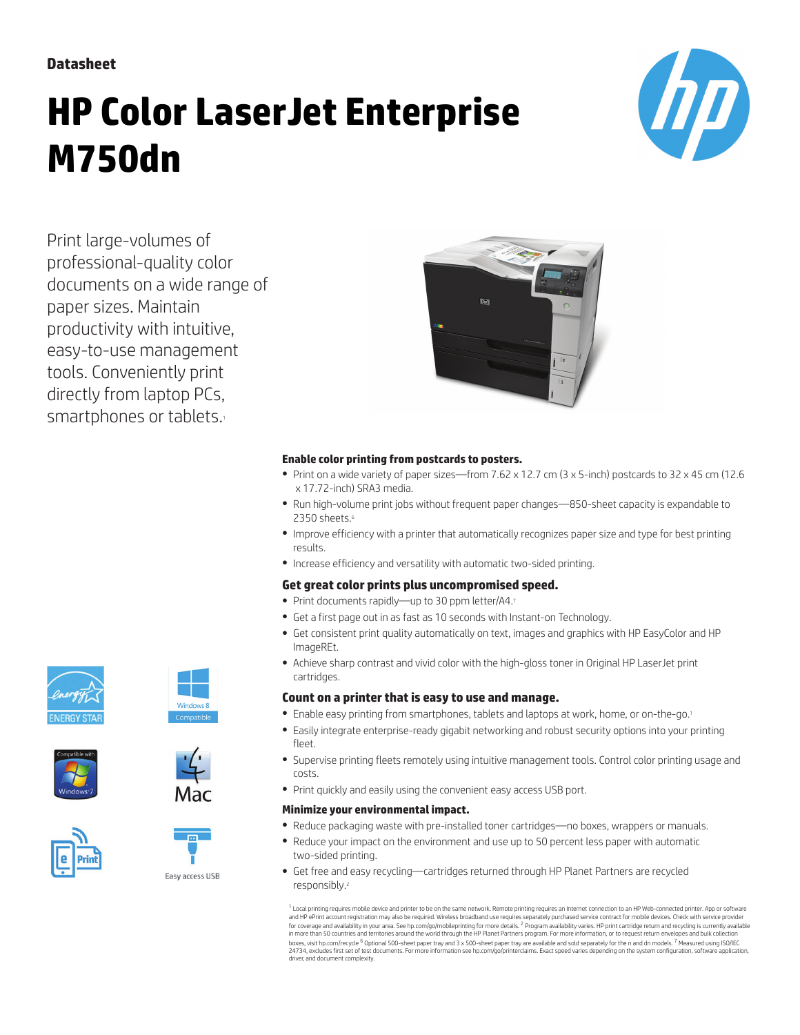**Datasheet**

# **HP Color LaserJet Enterprise M750dn**



Print large-volumes of professional-quality color documents on a wide range of paper sizes. Maintain productivity with intuitive, easy-to-use management tools. Conveniently print directly from laptop PCs, smartphones or tablets.



### **Enable color printing from postcards to posters.**

- Print on a wide variety of paper sizes—from 7.62 x 12.7 cm (3 x 5-inch) postcards to 32 x 45 cm (12.6 x 17.72-inch) SRA3 media.
- Run high-volume print jobs without frequent paper changes—850-sheet capacity is expandable to 2350 sheets.<sup>6</sup>
- Improve efficiency with a printer that automatically recognizes paper size and type for best printing results.
- Increase efficiency and versatility with automatic two-sided printing.

#### **Get great color prints plus uncompromised speed.**

- Print documents rapidly—up to 30 ppm letter/A4.<sup>7</sup>
- Get a first page out in as fast as 10 seconds with Instant-on Technology.
- Get consistent print quality automatically on text, images and graphics with HP EasyColor and HP ImageREt.
- Achieve sharp contrast and vivid color with the high-gloss toner in Original HP LaserJet print cartridges.

### **Count on a printer that is easy to use and manage.**

- Enable easy printing from smartphones, tablets and laptops at work, home, or on-the-go.<sup>1</sup>
- Easily integrate enterprise-ready gigabit networking and robust security options into your printing fleet.
- Supervise printing fleets remotely using intuitive management tools. Control color printing usage and costs.
- Print quickly and easily using the convenient easy access USB port.

#### **Minimize your environmental impact.**

- Reduce packaging waste with pre-installed toner cartridges—no boxes, wrappers or manuals.
- Reduce your impact on the environment and use up to 50 percent less paper with automatic two-sided printing.
- Get free and easy recycling—cartridges returned through HP Planet Partners are recycled responsibly.<sup>2</sup>

 $^1$  Local printing requires mobile device and printer to be on the same network. Remote printing requires an Internet connection to an HP Web-connected printer. App or software and HP ePrint account registration may also be required. Wireless broadband use requires separately purchased service contract for mobile devices. Check with service provider<br>for coverage and availability in your area. See in more than 50 countries and territories around the world through the HP Planet Partners program. For more information, or to request return envelopes and bulk collection<br>boxes, visit [hp.com/recycle](http://hp.com/recycle) <sup>6</sup> Optional 500-sheet 24734, excludes first set of test documents. For more information see [hp.com/go/printerclaims.](http://hp.com/go/printerclaims) Exact speed varies depending on the system configuration, software application driver, and document complexity.